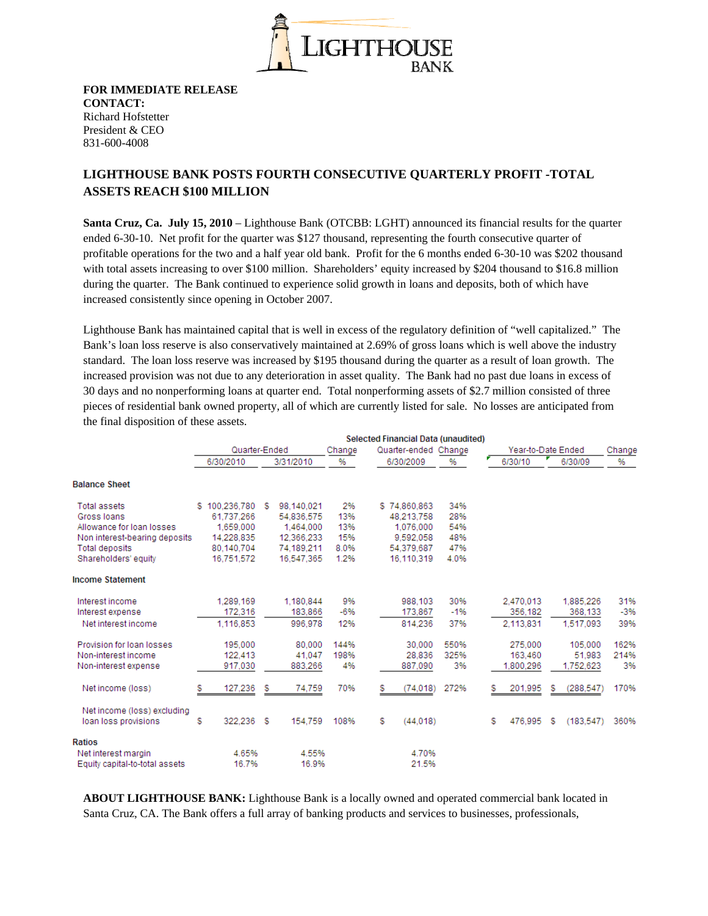

**FOR IMMEDIATE RELEASE CONTACT:**  Richard Hofstetter President & CEO 831-600-4008

## **LIGHTHOUSE BANK POSTS FOURTH CONSECUTIVE QUARTERLY PROFIT -TOTAL ASSETS REACH \$100 MILLION**

**Santa Cruz, Ca. July 15, 2010** – Lighthouse Bank (OTCBB: LGHT) announced its financial results for the quarter ended 6-30-10. Net profit for the quarter was \$127 thousand, representing the fourth consecutive quarter of profitable operations for the two and a half year old bank. Profit for the 6 months ended 6-30-10 was \$202 thousand with total assets increasing to over \$100 million. Shareholders' equity increased by \$204 thousand to \$16.8 million during the quarter. The Bank continued to experience solid growth in loans and deposits, both of which have increased consistently since opening in October 2007.

Lighthouse Bank has maintained capital that is well in excess of the regulatory definition of "well capitalized." The Bank's loan loss reserve is also conservatively maintained at 2.69% of gross loans which is well above the industry standard. The loan loss reserve was increased by \$195 thousand during the quarter as a result of loan growth. The increased provision was not due to any deterioration in asset quality. The Bank had no past due loans in excess of 30 days and no nonperforming loans at quarter end. Total nonperforming assets of \$2.7 million consisted of three pieces of residential bank owned property, all of which are currently listed for sale. No losses are anticipated from the final disposition of these assets.

|                                | Selected Financial Data (unaudited) |      |            |        |                      |       |  |              |                    |            |        |
|--------------------------------|-------------------------------------|------|------------|--------|----------------------|-------|--|--------------|--------------------|------------|--------|
|                                | Quarter-Ended                       |      |            | Change | Quarter-ended Change |       |  |              | Year-to-Date Ended |            | Change |
|                                | 6/30/2010                           |      | 3/31/2010  | %      | 6/30/2009            | %     |  | 6/30/10      |                    | 6/30/09    | %      |
| <b>Balance Sheet</b>           |                                     |      |            |        |                      |       |  |              |                    |            |        |
| <b>Total assets</b>            | \$100.236.780                       | - 95 | 98.140.021 | 2%     | \$74,860,863         | 34%   |  |              |                    |            |        |
| Gross Ioans                    | 61.737.266                          |      | 54.836.575 | 13%    | 48.213.758           | 28%   |  |              |                    |            |        |
| Allowance for loan losses      | 1,659,000                           |      | 1.464.000  | 13%    | 1,076,000            | 54%   |  |              |                    |            |        |
| Non interest-bearing deposits  | 14.228.835                          |      | 12.366.233 | 15%    | 9,592,058            | 48%   |  |              |                    |            |        |
| <b>Total deposits</b>          | 80.140.704                          |      | 74,189,211 | 8.0%   | 54,379,687           | 47%   |  |              |                    |            |        |
| Shareholders' equity           | 16.751.572                          |      | 16.547.365 | 1.2%   | 16.110.319           | 4.0%  |  |              |                    |            |        |
| <b>Income Statement</b>        |                                     |      |            |        |                      |       |  |              |                    |            |        |
| Interest income                | 1,289,169                           |      | 1.180.844  | 9%     | 988.103              | 30%   |  | 2.470.013    |                    | 1,885,226  | 31%    |
| Interest expense               | 172.316                             |      | 183,866    | -6%    | 173,867              | $-1%$ |  | 356,182      |                    | 368,133    | $-3%$  |
| Net interest income            | 1.116.853                           |      | 996.978    | 12%    | 814.236              | 37%   |  | 2,113,831    |                    | 1.517.093  | 39%    |
| Provision for loan losses      | 195,000                             |      | 80,000     | 144%   | 30,000               | 550%  |  | 275,000      |                    | 105,000    | 162%   |
| Non-interest income            | 122.413                             |      | 41.047     | 198%   | 28.836               | 325%  |  | 163,460      |                    | 51.983     | 214%   |
| Non-interest expense           | 917.030                             |      | 883,266    | 4%     | 887.090              | 3%    |  | 1,800,296    |                    | 1.752.623  | 3%     |
| Net income (loss)              | 127,236<br>s                        | S    | 74,759     | 70%    | (74, 018)<br>s       | 272%  |  | s<br>201,995 | s                  | (288, 547) | 170%   |
| Net income (loss) excluding    |                                     |      |            |        |                      |       |  |              |                    |            |        |
| loan loss provisions           | 322.236<br>S                        | - 5  | 154.759    | 108%   | S<br>(44.018)        |       |  | 476.995<br>S | S                  | (183.547)  | 360%   |
| Ratios                         |                                     |      |            |        |                      |       |  |              |                    |            |        |
| Net interest margin            | 4.65%                               |      | 4.55%      |        | 4.70%                |       |  |              |                    |            |        |
| Equity capital-to-total assets | 16.7%                               |      | 16.9%      |        | 21.5%                |       |  |              |                    |            |        |

**ABOUT LIGHTHOUSE BANK:** Lighthouse Bank is a locally owned and operated commercial bank located in Santa Cruz, CA. The Bank offers a full array of banking products and services to businesses, professionals,